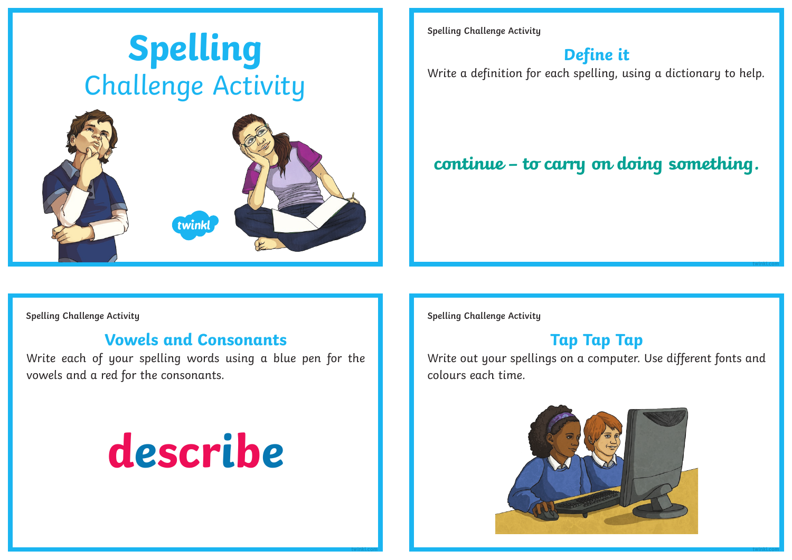

**Spelling Challenge Activity**

## **Define it**

Write a definition for each spelling, using a dictionary to help.

## **continue – to carry on doing something.**

#### **Vowels and Consonants**

Write each of your spelling words using a blue pen for the vowels and a red for the consonants.

# **describe**

**Spelling Challenge Activity Spelling Challenge Activity**

#### **Tap Tap Tap**

**twinkl.com**

Write out your spellings on a computer. Use different fonts and colours each time.



**twinkl.com twinkl.com**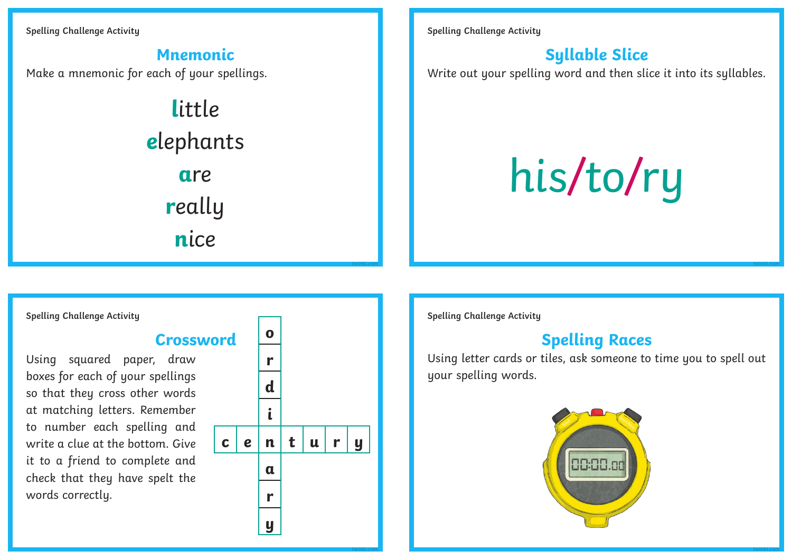**Spelling Challenge Activity**

**Mnemonic** Make a mnemonic for each of your spellings. **l**ittle

**e**lephants **a**re **r**eally **n**ice

**Spelling Challenge Activity**

### **Syllable Slice**

Write out your spelling word and then slice it into its syllables.

his/to/ry

**Spelling Challenge Activity**

#### **Crossword**

Using squared paper, draw boxes for each of your spellings so that they cross other words at matching letters. Remember to number each spelling and write a clue at the bottom. Give it to a friend to complete and check that they have spelt the words correctly.



**twinkl.com**

**twinkl.com**

**Spelling Challenge Activity**

#### **Spelling Races**

Using letter cards or tiles, ask someone to time you to spell out your spelling words.



**twinkl.com**

**twinkl.com**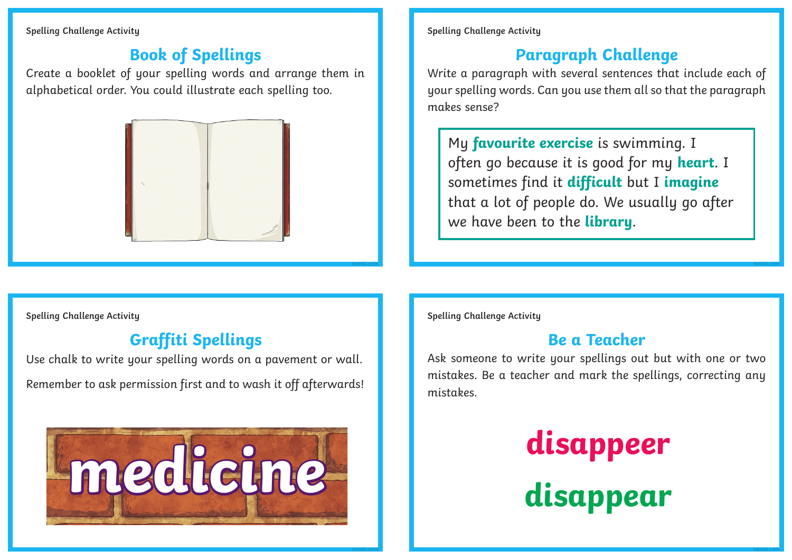**Spelling Challenge Activity**

## **Book of Spellings**

Create a booklet of your spelling words and arrange them in alphabetical order. You could illustrate each spelling too.



**Spelling Challenge Activity**

## **Paragraph Challenge**

Write a paragraph with several sentences that include each of your spelling words. Can you use them all so that the paragraph makes sense?

My **favourite exercise** is swimming. I often go because it is good for my **heart**. I sometimes find it **difficult** but I **imagine** that a lot of people do. We usually go after we have been to the **library**.

**Spelling Challenge Activity**

## **Graffiti Spellings**

Use chalk to write your spelling words on a pavement or wall. Remember to ask permission first and to wash it off afterwards!



**Spelling Challenge Activity**

**twinkl.com**

**twinkl.com**

#### **Be a Teacher**

Ask someone to write your spellings out but with one or two mistakes. Be a teacher and mark the spellings, correcting any mistakes.



**twinkl.com**

**twinkl.com**